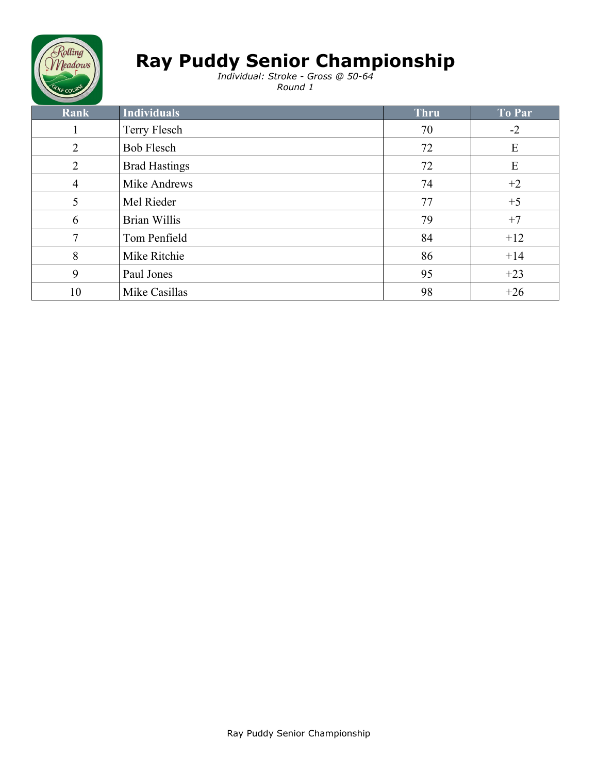

*Individual: Stroke - Gross @ 50-64 Round 1*

| Rank           | Individuals          | <b>Thru</b> | To Par |
|----------------|----------------------|-------------|--------|
| 1              | Terry Flesch         | 70          | $-2$   |
| 2              | <b>Bob Flesch</b>    | 72          | E      |
| $\overline{2}$ | <b>Brad Hastings</b> | 72          | E      |
| 4              | Mike Andrews         | 74          | $+2$   |
| 5              | Mel Rieder           | 77          | $+5$   |
| 6              | <b>Brian Willis</b>  | 79          | $+7$   |
| 7              | Tom Penfield         | 84          | $+12$  |
| 8              | Mike Ritchie         | 86          | $+14$  |
| 9              | Paul Jones           | 95          | $+23$  |
| 10             | Mike Casillas        | 98          | $+26$  |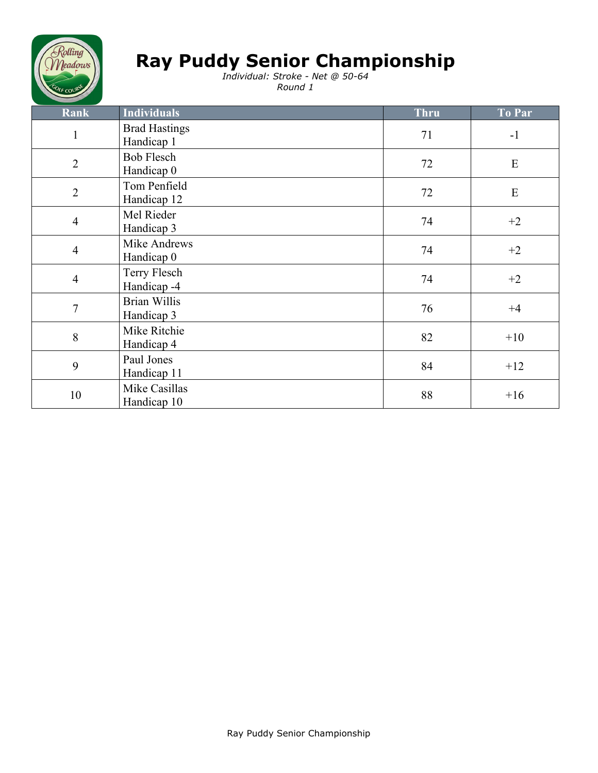

*Individual: Stroke - Net @ 50-64 Round 1*

| Rank           | <b>Individuals</b>                         | <b>Thru</b> | To Par    |
|----------------|--------------------------------------------|-------------|-----------|
| $\mathbf{1}$   | <b>Brad Hastings</b><br>Handicap 1         | 71          | $-1$      |
| $\overline{2}$ | <b>Bob Flesch</b><br>Handicap <sub>0</sub> | 72          | ${\bf E}$ |
| $\overline{2}$ | Tom Penfield<br>Handicap 12                | 72          | E         |
| $\overline{4}$ | Mel Rieder<br>Handicap 3                   | 74          | $+2$      |
| $\overline{4}$ | Mike Andrews<br>Handicap <sub>0</sub>      | 74          | $+2$      |
| $\overline{4}$ | Terry Flesch<br>Handicap <sub>-4</sub>     | 74          | $+2$      |
| $\tau$         | <b>Brian Willis</b><br>Handicap 3          | 76          | $+4$      |
| $\, 8$         | Mike Ritchie<br>Handicap 4                 | 82          | $+10$     |
| 9              | Paul Jones<br>Handicap 11                  | 84          | $+12$     |
| 10             | Mike Casillas<br>Handicap 10               | 88          | $+16$     |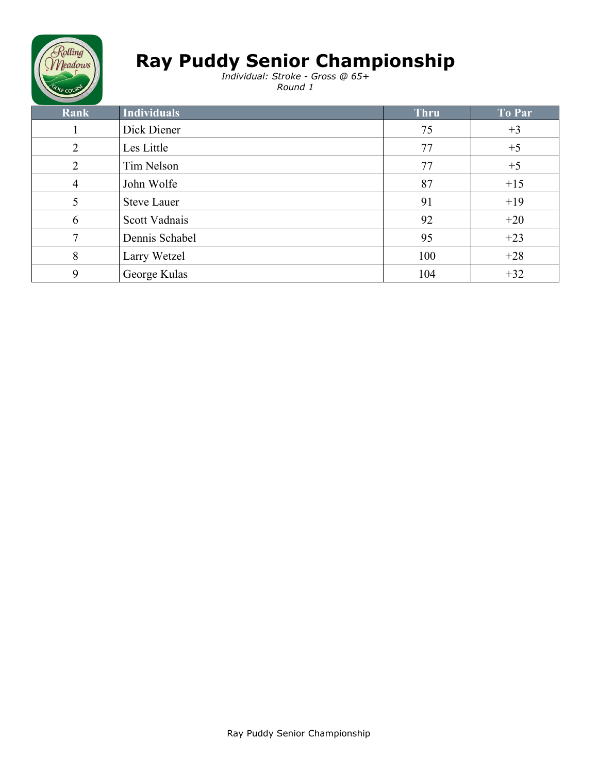

*Individual: Stroke - Gross @ 65+ Round 1*

| Rank | <b>Individuals</b> | <b>Thru</b> | To Par |
|------|--------------------|-------------|--------|
|      | Dick Diener        | 75          | $+3$   |
| 2    | Les Little         | 77          | $+5$   |
| 2    | Tim Nelson         | 77          | $+5$   |
| 4    | John Wolfe         | 87          | $+15$  |
| 5    | <b>Steve Lauer</b> | 91          | $+19$  |
| 6    | Scott Vadnais      | 92          | $+20$  |
| 7    | Dennis Schabel     | 95          | $+23$  |
| 8    | Larry Wetzel       | 100         | $+28$  |
| 9    | George Kulas       | 104         | $+32$  |